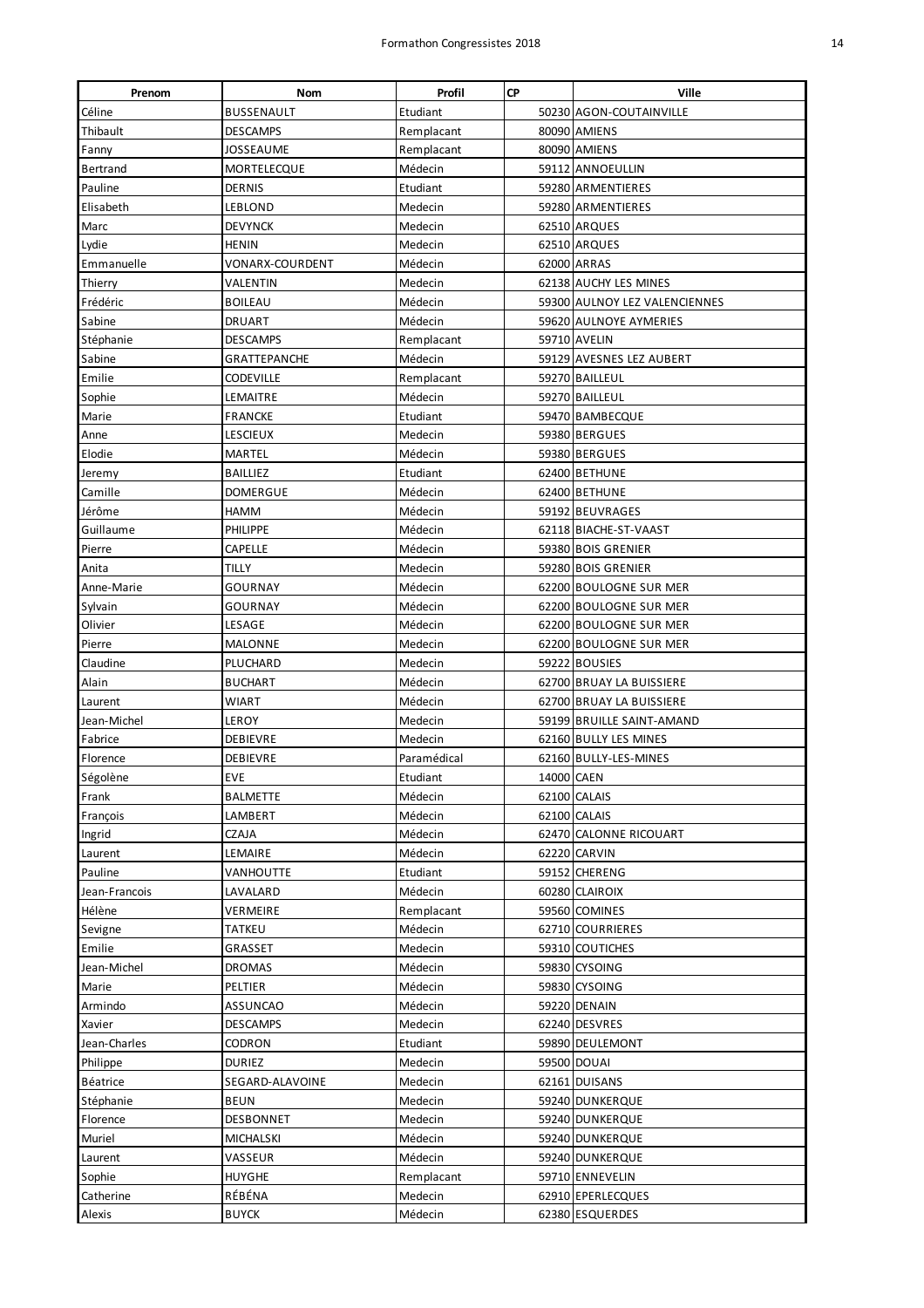| Prenom          | Nom                 | Profil      | <b>CP</b>  | Ville                         |
|-----------------|---------------------|-------------|------------|-------------------------------|
| Céline          | BUSSENAULT          | Etudiant    |            | 50230 AGON-COUTAINVILLE       |
| Thibault        | DESCAMPS            | Remplacant  |            | 80090 AMIENS                  |
| Fanny           | JOSSEAUME           | Remplacant  |            | 80090 AMIENS                  |
| <b>Bertrand</b> | MORTELECQUE         | Médecin     |            | 59112 ANNOEULLIN              |
| Pauline         | <b>DERNIS</b>       | Etudiant    |            | 59280 ARMENTIERES             |
| Elisabeth       | LEBLOND             | Medecin     |            | 59280 ARMENTIERES             |
| Marc            | <b>DEVYNCK</b>      | Medecin     |            | 62510 ARQUES                  |
| Lydie           | HENIN               | Medecin     |            | 62510 ARQUES                  |
| Emmanuelle      | VONARX-COURDENT     | Médecin     |            | 62000 ARRAS                   |
| Thierry         | VALENTIN            | Medecin     |            | 62138 AUCHY LES MINES         |
| Frédéric        | <b>BOILEAU</b>      | Médecin     |            | 59300 AULNOY LEZ VALENCIENNES |
| Sabine          | DRUART              | Médecin     |            | 59620 AULNOYE AYMERIES        |
| Stéphanie       | <b>DESCAMPS</b>     | Remplacant  |            | 59710 AVELIN                  |
| Sabine          | <b>GRATTEPANCHE</b> | Médecin     |            | 59129 AVESNES LEZ AUBERT      |
| Emilie          | <b>CODEVILLE</b>    | Remplacant  |            | 59270 BAILLEUL                |
| Sophie          | LEMAITRE            | Médecin     |            | 59270 BAILLEUL                |
| Marie           | <b>FRANCKE</b>      | Etudiant    |            | 59470 BAMBECQUE               |
| Anne            | <b>LESCIEUX</b>     | Medecin     |            | 59380 BERGUES                 |
| Elodie          | MARTEL              | Médecin     |            | 59380 BERGUES                 |
| Jeremy          | <b>BAILLIEZ</b>     | Etudiant    |            | 62400 BETHUNE                 |
| Camille         | DOMERGUE            | Médecin     |            | 62400 BETHUNE                 |
| Jérôme          | HAMM                | Médecin     |            | 59192 BEUVRAGES               |
| Guillaume       | <b>PHILIPPE</b>     | Médecin     |            | 62118 BIACHE-ST-VAAST         |
| Pierre          | CAPELLE             | Médecin     |            | 59380 BOIS GRENIER            |
| Anita           | tilly               | Medecin     |            | 59280 BOIS GRENIER            |
|                 |                     |             |            | 62200 BOULOGNE SUR MER        |
| Anne-Marie      | GOURNAY             | Médecin     |            | 62200 BOULOGNE SUR MER        |
| Sylvain         | GOURNAY             | Médecin     |            |                               |
| Olivier         | LESAGE              | Médecin     |            | 62200 BOULOGNE SUR MER        |
| Pierre          | MALONNE             | Medecin     |            | 62200 BOULOGNE SUR MER        |
| Claudine        | PLUCHARD            | Medecin     |            | 59222 BOUSIES                 |
| Alain           | <b>BUCHART</b>      | Médecin     |            | 62700 BRUAY LA BUISSIERE      |
| Laurent         | WIART               | Médecin     |            | 62700 BRUAY LA BUISSIERE      |
| Jean-Michel     | LEROY               | Medecin     |            | 59199 BRUILLE SAINT-AMAND     |
| Fabrice         | DEBIEVRE            | Medecin     |            | 62160 BULLY LES MINES         |
| Florence        | DEBIEVRE            | Paramédical |            | 62160 BULLY-LES-MINES         |
| Ségolène        | EVE                 | Etudiant    | 14000 CAEN |                               |
| Frank           | BALMETTE            | Médecin     |            | 62100 CALAIS                  |
| François        | LAMBERT             | Médecin     |            | 62100 CALAIS                  |
| Ingrid          | CZAJA               | Médecin     |            | 62470 CALONNE RICOUART        |
| Laurent         | LEMAIRE             | Médecin     |            | 62220 CARVIN                  |
| Pauline         | VANHOUTTE           | Etudiant    |            | 59152 CHERENG                 |
| Jean-Francois   | LAVALARD            | Médecin     |            | 60280 CLAIROIX                |
| Hélène          | VERMEIRE            | Remplacant  |            | 59560 COMINES                 |
| Sevigne         | <b>TATKEU</b>       | Médecin     |            | 62710 COURRIERES              |
| Emilie          | GRASSET             | Medecin     |            | 59310 COUTICHES               |
| Jean-Michel     | <b>DROMAS</b>       | Médecin     |            | 59830 CYSOING                 |
| Marie           | PELTIER             | Médecin     |            | 59830 CYSOING                 |
| Armindo         | ASSUNCAO            | Médecin     |            | 59220 DENAIN                  |
| Xavier          | DESCAMPS            | Medecin     |            | 62240 DESVRES                 |
| Jean-Charles    | CODRON              | Etudiant    |            | 59890 DEULEMONT               |
| Philippe        | DURIEZ              | Medecin     |            | 59500 DOUAI                   |
| Béatrice        | SEGARD-ALAVOINE     | Medecin     |            | 62161 DUISANS                 |
| Stéphanie       | <b>BEUN</b>         | Medecin     |            | 59240 DUNKERQUE               |
| Florence        | DESBONNET           | Medecin     |            | 59240 DUNKERQUE               |
| Muriel          | MICHALSKI           | Médecin     |            | 59240 DUNKERQUE               |
| Laurent         | VASSEUR             | Médecin     |            | 59240 DUNKERQUE               |
| Sophie          | HUYGHE              | Remplacant  |            | 59710 ENNEVELIN               |
| Catherine       | RÉBÉNA              | Medecin     |            | 62910 EPERLECQUES             |
| Alexis          | <b>BUYCK</b>        | Médecin     |            | 62380 ESQUERDES               |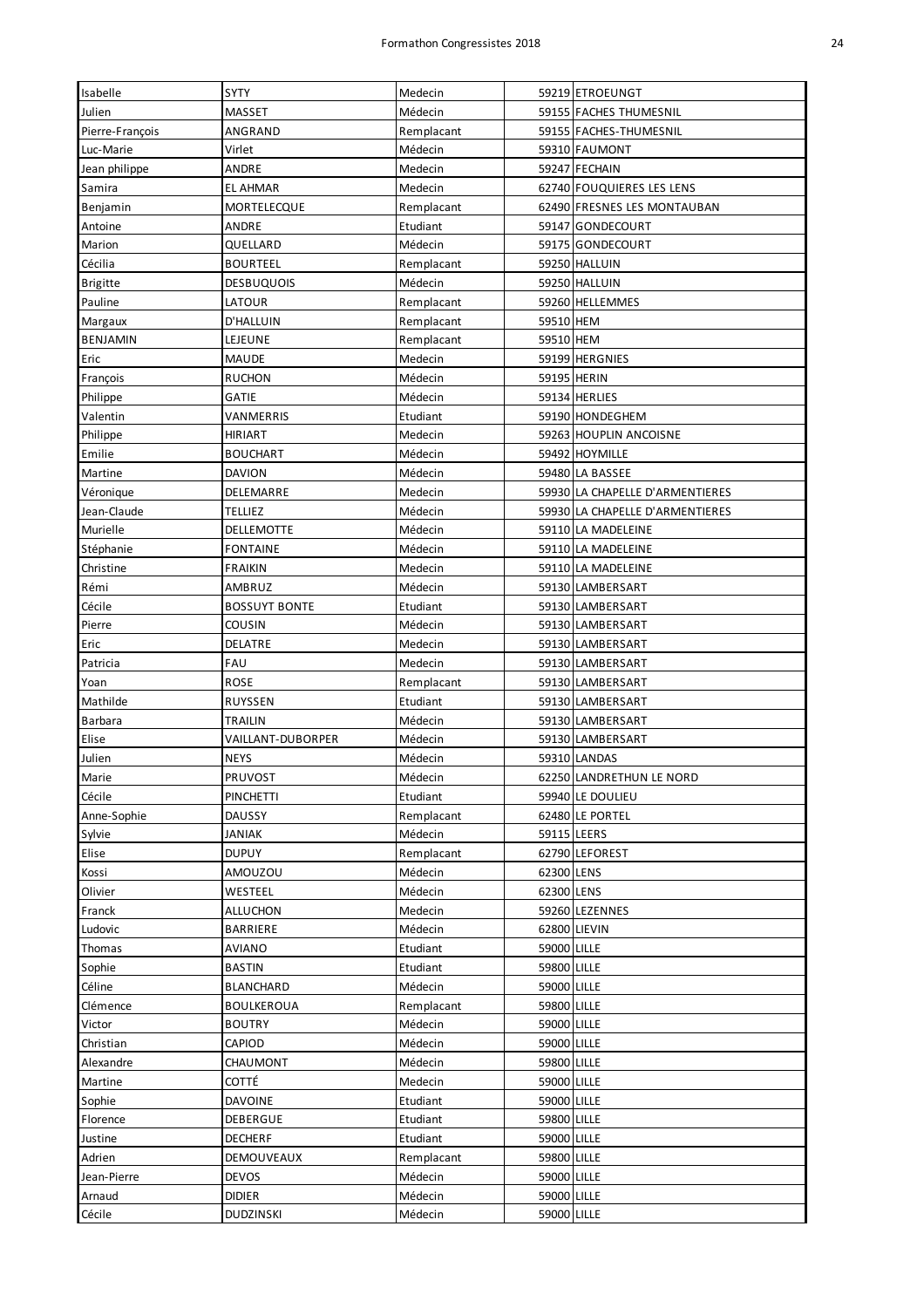| Isabelle         | SYTY                       | Medecin            |                            | 59219 ETROEUNGT                 |
|------------------|----------------------------|--------------------|----------------------------|---------------------------------|
| Julien           | <b>MASSET</b>              | Médecin            |                            | 59155 FACHES THUMESNIL          |
| Pierre-François  | ANGRAND                    | Remplacant         |                            | 59155 FACHES-THUMESNIL          |
| Luc-Marie        | Virlet                     | Médecin            |                            | 59310 FAUMONT                   |
| Jean philippe    | ANDRE                      | Medecin            |                            | 59247 FECHAIN                   |
| Samira           | <b>EL AHMAR</b>            | Medecin            |                            | 62740 FOUQUIERES LES LENS       |
| Benjamin         | MORTELECQUE                | Remplacant         |                            | 62490 FRESNES LES MONTAUBAN     |
| Antoine          | ANDRE                      | Etudiant           |                            | 59147 GONDECOURT                |
| Marion           | QUELLARD                   | Médecin            |                            | 59175 GONDECOURT                |
| Cécilia          | <b>BOURTEEL</b>            | Remplacant         |                            | 59250 HALLUIN                   |
| <b>Brigitte</b>  | <b>DESBUQUOIS</b>          | Médecin            |                            | 59250 HALLUIN                   |
| Pauline          | LATOUR                     | Remplacant         |                            | 59260 HELLEMMES                 |
| Margaux          | D'HALLUIN                  | Remplacant         | 59510 HEM                  |                                 |
| <b>BENJAMIN</b>  | LEJEUNE                    | Remplacant         | 59510 HEM                  |                                 |
| Eric             | <b>MAUDE</b>               | Medecin            |                            | 59199 HERGNIES                  |
| François         | <b>RUCHON</b>              | Médecin            | 59195 HERIN                |                                 |
| Philippe         | GATIE                      | Médecin            |                            | 59134 HERLIES                   |
| Valentin         | <b>VANMERRIS</b>           | Etudiant           |                            | 59190 HONDEGHEM                 |
| Philippe         | <b>HIRIART</b>             | Medecin            |                            | 59263 HOUPLIN ANCOISNE          |
| Emilie           | <b>BOUCHART</b>            | Médecin            |                            | 59492 HOYMILLE                  |
| Martine          | <b>DAVION</b>              | Médecin            |                            | 59480 LA BASSEE                 |
| Véronique        | DELEMARRE                  | Medecin            |                            | 59930 LA CHAPELLE D'ARMENTIERES |
| Jean-Claude      | <b>TELLIEZ</b>             | Médecin            |                            | 59930 LA CHAPELLE D'ARMENTIERES |
| Murielle         | DELLEMOTTE                 | Médecin            |                            | 59110 LA MADELEINE              |
| Stéphanie        | <b>FONTAINE</b>            | Médecin            |                            | 59110 LA MADELEINE              |
| Christine        | <b>FRAIKIN</b>             | Medecin            |                            | 59110 LA MADELEINE              |
| Rémi             | AMBRUZ                     | Médecin            |                            | 59130 LAMBERSART                |
| Cécile           | <b>BOSSUYT BONTE</b>       | Etudiant           |                            | 59130 LAMBERSART                |
| Pierre           | COUSIN                     | Médecin            |                            | 59130 LAMBERSART                |
| Eric             | DELATRE                    | Medecin            |                            | 59130 LAMBERSART                |
| Patricia         | FAU                        | Medecin            |                            | 59130 LAMBERSART                |
| Yoan             | <b>ROSE</b>                | Remplacant         |                            | 59130 LAMBERSART                |
| Mathilde         | RUYSSEN                    | Etudiant           |                            | 59130 LAMBERSART                |
| <b>Barbara</b>   | <b>TRAILIN</b>             | Médecin            |                            | 59130 LAMBERSART                |
| Elise            | VAILLANT-DUBORPER          | Médecin            |                            | 59130 LAMBERSART                |
| Julien           | <b>NEYS</b>                | Médecin            |                            | 59310 LANDAS                    |
| Marie            | PRUVOST                    | Médecin            |                            | 62250 LANDRETHUN LE NORD        |
| Cécile           | <b>PINCHETTI</b>           |                    |                            |                                 |
|                  |                            | Etudiant           |                            | 59940 LE DOULIEU                |
| Anne-Sophie      | <b>DAUSSY</b>              | Remplacant         |                            | 62480 LE PORTEL                 |
| Sylvie           | <b>JANIAK</b>              | Médecin            | 59115 LEERS                |                                 |
| Elise            | <b>DUPUY</b>               | Remplacant         |                            | 62790 LEFOREST                  |
| Kossi            | AMOUZOU                    | Médecin            | 62300 LENS                 |                                 |
| Olivier          | WESTEEL                    | Médecin            | 62300 LENS                 |                                 |
| Franck           | ALLUCHON                   | Medecin            |                            | 59260 LEZENNES                  |
| Ludovic          | <b>BARRIERE</b>            | Médecin            | 62800 LIEVIN               |                                 |
| Thomas           | <b>AVIANO</b>              | Etudiant           | 59000 LILLE                |                                 |
| Sophie           | <b>BASTIN</b>              | Etudiant           | 59800 LILLE                |                                 |
| Céline           | <b>BLANCHARD</b>           | Médecin            | 59000 LILLE                |                                 |
| Clémence         | <b>BOULKEROUA</b>          | Remplacant         | 59800 LILLE                |                                 |
| Victor           | <b>BOUTRY</b>              | Médecin            | 59000 LILLE                |                                 |
| Christian        | CAPIOD                     | Médecin            | 59000 LILLE                |                                 |
| Alexandre        | CHAUMONT                   | Médecin            | 59800 LILLE                |                                 |
| Martine          | COTTÉ                      | Medecin            | 59000 LILLE                |                                 |
| Sophie           | <b>DAVOINE</b>             | Etudiant           | 59000 LILLE                |                                 |
| Florence         | DEBERGUE                   | Etudiant           | 59800 LILLE                |                                 |
| Justine          | <b>DECHERF</b>             | Etudiant           | 59000 LILLE                |                                 |
| Adrien           | <b>DEMOUVEAUX</b>          | Remplacant         | 59800 LILLE                |                                 |
| Jean-Pierre      | <b>DEVOS</b>               | Médecin            | 59000 LILLE                |                                 |
| Arnaud<br>Cécile | <b>DIDIER</b><br>DUDZINSKI | Médecin<br>Médecin | 59000 LILLE<br>59000 LILLE |                                 |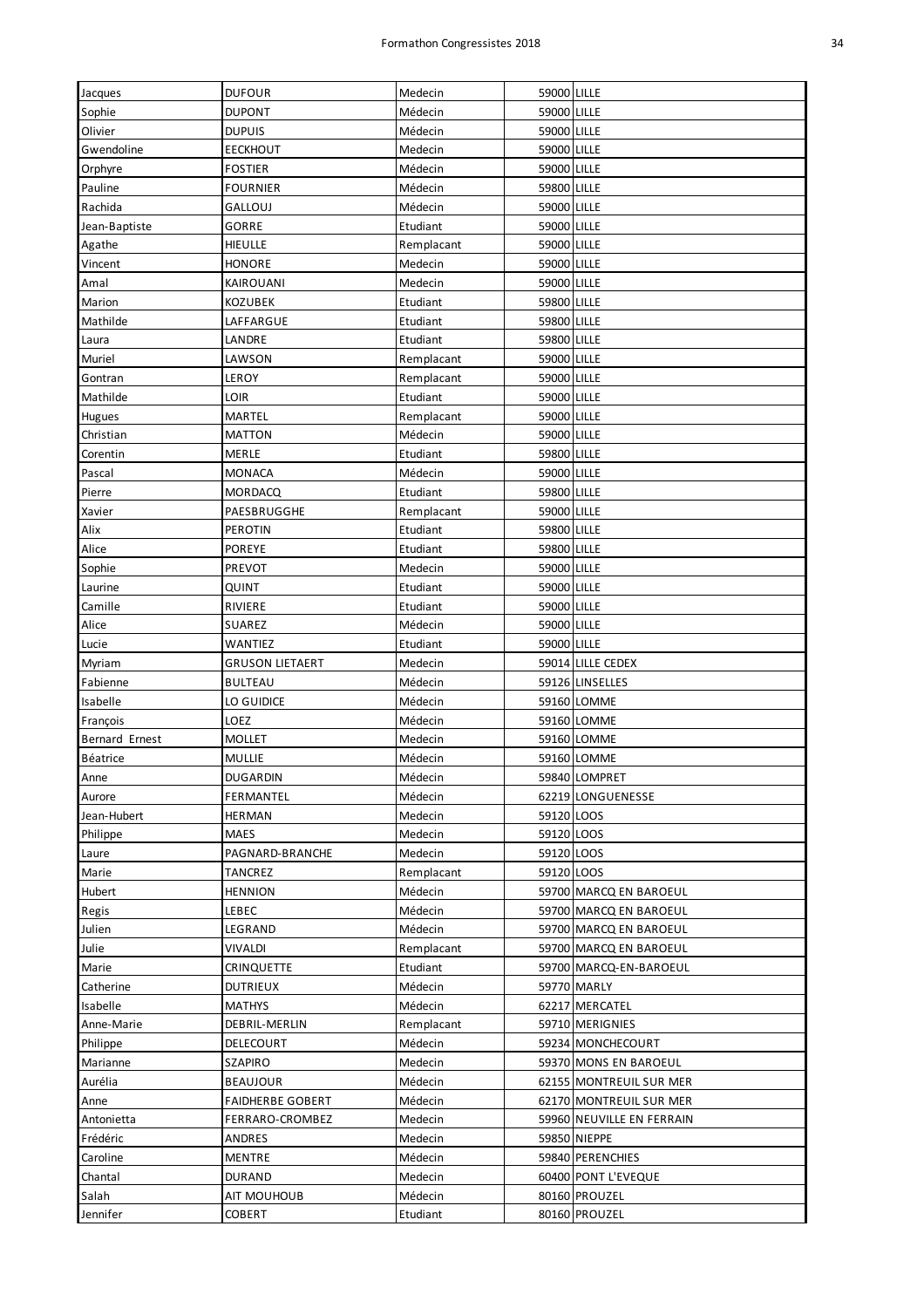| Jacques               | <b>DUFOUR</b>           | Medecin    | 59000 LILLE |                                |
|-----------------------|-------------------------|------------|-------------|--------------------------------|
| Sophie                | <b>DUPONT</b>           | Médecin    | 59000 LILLE |                                |
| Olivier               | <b>DUPUIS</b>           | Médecin    | 59000 LILLE |                                |
| Gwendoline            | <b>EECKHOUT</b>         | Medecin    | 59000 LILLE |                                |
| Orphyre               | <b>FOSTIER</b>          | Médecin    | 59000 LILLE |                                |
| Pauline               | <b>FOURNIER</b>         | Médecin    | 59800 LILLE |                                |
| Rachida               | <b>GALLOUJ</b>          | Médecin    | 59000 LILLE |                                |
| Jean-Baptiste         | GORRE                   | Etudiant   | 59000 LILLE |                                |
| Agathe                | HIEULLE                 | Remplacant | 59000 LILLE |                                |
| Vincent               | HONORE                  | Medecin    | 59000 LILLE |                                |
| Amal                  | KAIROUANI               | Medecin    | 59000 LILLE |                                |
| Marion                | KOZUBEK                 | Etudiant   | 59800 LILLE |                                |
| Mathilde              | LAFFARGUE               | Etudiant   | 59800 LILLE |                                |
| Laura                 | LANDRE                  | Etudiant   | 59800 LILLE |                                |
| Muriel                | LAWSON                  | Remplacant | 59000 LILLE |                                |
| Gontran               | LEROY                   | Remplacant | 59000 LILLE |                                |
| Mathilde              | LOIR                    | Etudiant   | 59000 LILLE |                                |
| Hugues                | <b>MARTEL</b>           | Remplacant | 59000 LILLE |                                |
| Christian             | <b>MATTON</b>           | Médecin    | 59000 LILLE |                                |
| Corentin              | MERLE                   | Etudiant   | 59800 LILLE |                                |
| Pascal                | <b>MONACA</b>           | Médecin    | 59000 LILLE |                                |
| Pierre                | <b>MORDACQ</b>          | Etudiant   | 59800 LILLE |                                |
| Xavier                | PAESBRUGGHE             | Remplacant | 59000 LILLE |                                |
| Alix                  | <b>PEROTIN</b>          | Etudiant   | 59800 LILLE |                                |
| Alice                 | <b>POREYE</b>           | Etudiant   | 59800 LILLE |                                |
| Sophie                | PREVOT                  | Medecin    | 59000 LILLE |                                |
| Laurine               | QUINT                   | Etudiant   | 59000 LILLE |                                |
| Camille               | RIVIERE                 | Etudiant   | 59000 LILLE |                                |
| Alice                 | SUAREZ                  | Médecin    | 59000 LILLE |                                |
| Lucie                 | WANTIEZ                 | Etudiant   | 59000 LILLE |                                |
|                       | <b>GRUSON LIETAERT</b>  | Medecin    |             | 59014 LILLE CEDEX              |
| Myriam                | <b>BULTEAU</b>          |            |             |                                |
| Fabienne              |                         | Médecin    |             | 59126 LINSELLES<br>59160 LOMME |
| Isabelle              | LO GUIDICE              | Médecin    |             |                                |
| François              | LOEZ                    | Médecin    |             | 59160 LOMME                    |
| <b>Bernard Ernest</b> | MOLLET                  | Medecin    |             | 59160 LOMME                    |
| Béatrice              | Mullie                  | Médecin    |             | 59160 LOMME<br>59840 LOMPRET   |
| Anne                  | <b>DUGARDIN</b>         | Médecin    |             |                                |
| Aurore                | FERMANTEL               | Médecin    |             | 62219 LONGUENESSE              |
| Jean-Hubert           | HERMAN                  | Medecin    | 59120 LOOS  |                                |
| Philippe              | <b>MAES</b>             | Medecin    | 59120 LOOS  |                                |
| Laure                 | PAGNARD-BRANCHE         | Medecin    | 59120 LOOS  |                                |
| Marie                 | TANCREZ                 | Remplacant | 59120 LOOS  |                                |
| Hubert                | HENNION                 | Médecin    |             | 59700 MARCQ EN BAROEUL         |
| Regis                 | LEBEC                   | Médecin    |             | 59700 MARCQ EN BAROEUL         |
| Julien                | LEGRAND                 | Médecin    |             | 59700 MARCQ EN BAROEUL         |
| Julie                 | <b>VIVALDI</b>          | Remplacant |             | 59700 MARCQ EN BAROEUL         |
| Marie                 | <b>CRINQUETTE</b>       | Etudiant   |             | 59700 MARCQ-EN-BAROEUL         |
| Catherine             | <b>DUTRIEUX</b>         | Médecin    |             | 59770 MARLY                    |
| Isabelle              | <b>MATHYS</b>           | Médecin    |             | 62217 MERCATEL                 |
| Anne-Marie            | DEBRIL-MERLIN           | Remplacant |             | 59710 MERIGNIES                |
| Philippe              | DELECOURT               | Médecin    |             | 59234 MONCHECOURT              |
| Marianne              | SZAPIRO                 | Medecin    |             | 59370 MONS EN BAROEUL          |
| Aurélia               | <b>BEAUJOUR</b>         | Médecin    |             | 62155 MONTREUIL SUR MER        |
| Anne                  | <b>FAIDHERBE GOBERT</b> | Médecin    |             | 62170 MONTREUIL SUR MER        |
| Antonietta            | FERRARO-CROMBEZ         | Medecin    |             | 59960 NEUVILLE EN FERRAIN      |
| Frédéric              | ANDRES                  | Medecin    |             | 59850 NIEPPE                   |
| Caroline              | <b>MENTRE</b>           | Médecin    |             | 59840 PERENCHIES               |
| Chantal               | <b>DURAND</b>           | Medecin    |             | 60400 PONT L'EVEQUE            |
| Salah                 | AIT MOUHOUB             | Médecin    |             | 80160 PROUZEL                  |
| Jennifer              | COBERT                  | Etudiant   |             | 80160 PROUZEL                  |